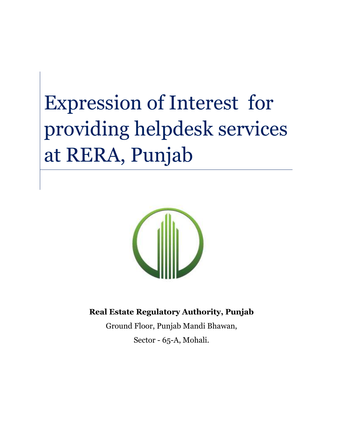# Expression of Interest for providing helpdesk services at RERA, Punjab



**Real Estate Regulatory Authority, Punjab**

Ground Floor, Punjab Mandi Bhawan, Sector - 65-A, Mohali.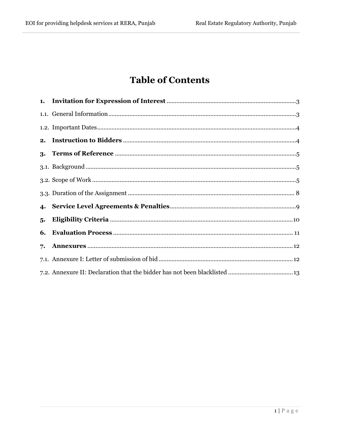# **Table of Contents**

| 5. |  |
|----|--|
| 6. |  |
| 7. |  |
|    |  |
|    |  |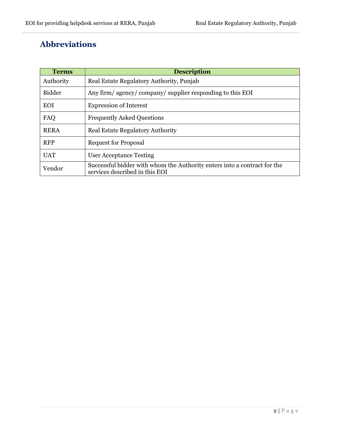## **Abbreviations**

| <b>Terms</b>                                                                | <b>Description</b>                                                                                         |  |  |
|-----------------------------------------------------------------------------|------------------------------------------------------------------------------------------------------------|--|--|
| Authority                                                                   | Real Estate Regulatory Authority, Punjab                                                                   |  |  |
| <b>Bidder</b><br>Any firm/ agency/ company/ supplier responding to this EOI |                                                                                                            |  |  |
| <b>EOI</b>                                                                  | <b>Expression of Interest</b>                                                                              |  |  |
| FAQ                                                                         | <b>Frequently Asked Questions</b>                                                                          |  |  |
| <b>RERA</b>                                                                 | <b>Real Estate Regulatory Authority</b>                                                                    |  |  |
| <b>RFP</b>                                                                  | <b>Request for Proposal</b>                                                                                |  |  |
| <b>UAT</b>                                                                  | User Acceptance Testing                                                                                    |  |  |
| Vendor                                                                      | Successful bidder with whom the Authority enters into a contract for the<br>services described in this EOI |  |  |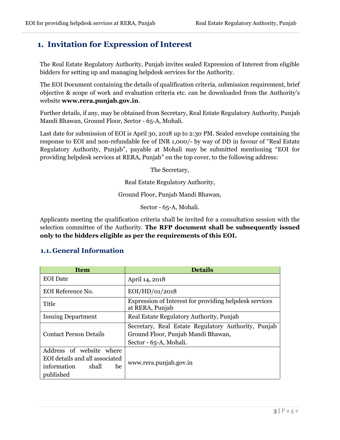### <span id="page-3-0"></span>**1. Invitation for Expression of Interest**

The Real Estate Regulatory Authority, Punjab invites sealed Expression of Interest from eligible bidders for setting up and managing helpdesk services for the Authority.

The EOI Document containing the details of qualification criteria, submission requirement, brief objective & scope of work and evaluation criteria etc. can be downloaded from the Authority's website **www.rera.punjab.gov.in**.

Further details, if any, may be obtained from Secretary, Real Estate Regulatory Authority, Punjab Mandi Bhawan, Ground Floor, Sector - 65-A, Mohali.

Last date for submission of EOI is April 30, 2018 up to 2:30 PM. Sealed envelope containing the response to EOI and non-refundable fee of INR 1,000/- by way of DD in favour of "Real Estate Regulatory Authority, Punjab", payable at Mohali may be submitted mentioning "EOI for providing helpdesk services at RERA, Punjab" on the top cover, to the following address:

The Secretary,

Real Estate Regulatory Authority,

Ground Floor, Punjab Mandi Bhawan,

Sector - 65-A, Mohali.

Applicants meeting the qualification criteria shall be invited for a consultation session with the selection committee of the Authority. **The RFP document shall be subsequently issued only to the bidders eligible as per the requirements of this EOI.**

#### <span id="page-3-1"></span>**1.1. General Information**

| <b>Item</b>                                                                                           | <b>Details</b>                                                                                                      |  |  |
|-------------------------------------------------------------------------------------------------------|---------------------------------------------------------------------------------------------------------------------|--|--|
| <b>EOI</b> Date                                                                                       | April 14, 2018                                                                                                      |  |  |
| EOI Reference No.                                                                                     | EOI/HD/O1/2018                                                                                                      |  |  |
| Title                                                                                                 | Expression of Interest for providing helpdesk services<br>at RERA, Punjab                                           |  |  |
| <b>Issuing Department</b>                                                                             | Real Estate Regulatory Authority, Punjab                                                                            |  |  |
| <b>Contact Person Details</b>                                                                         | Secretary, Real Estate Regulatory Authority, Punjab<br>Ground Floor, Punjab Mandi Bhawan,<br>Sector - 65-A, Mohali. |  |  |
| Address of website where<br>EOI details and all associated<br>information<br>shall<br>be<br>published | www.rera.punjab.gov.in                                                                                              |  |  |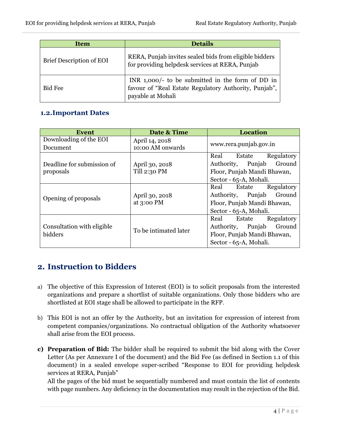| <b>Item</b>              | <b>Details</b>                                                                                                                 |  |
|--------------------------|--------------------------------------------------------------------------------------------------------------------------------|--|
| Brief Description of EOI | RERA, Punjab invites sealed bids from eligible bidders<br>for providing helpdesk services at RERA, Punjab                      |  |
| <b>Bid Fee</b>           | INR $1,000$ to be submitted in the form of DD in<br>favour of "Real Estate Regulatory Authority, Punjab",<br>payable at Mohali |  |

#### <span id="page-4-0"></span>**1.2.Important Dates**

| Event                      | Date & Time                    | Location                     |  |
|----------------------------|--------------------------------|------------------------------|--|
| Downloading of the EOI     | April 14, 2018                 |                              |  |
| Document                   | 10:00 AM onwards               | www.rera.punjab.gov.in       |  |
|                            | April 30, 2018<br>Till 2:30 PM | Real<br>Regulatory<br>Estate |  |
| Deadline for submission of |                                | Ground<br>Authority, Punjab  |  |
| proposals                  |                                | Floor, Punjab Mandi Bhawan,  |  |
|                            |                                | Sector - 65-A, Mohali.       |  |
|                            | April 30, 2018<br>at 3:00 PM   | Real<br>Regulatory<br>Estate |  |
| Opening of proposals       |                                | Ground<br>Authority, Punjab  |  |
|                            |                                | Floor, Punjab Mandi Bhawan,  |  |
|                            |                                | Sector - 65-A, Mohali.       |  |
|                            | To be intimated later          | Regulatory<br>Real<br>Estate |  |
| Consultation with eligible |                                | Ground<br>Authority, Punjab  |  |
| bidders                    |                                | Floor, Punjab Mandi Bhawan,  |  |
|                            |                                | Sector - 65-A, Mohali.       |  |

## <span id="page-4-1"></span>**2. Instruction to Bidders**

- a) The objective of this Expression of Interest (EOI) is to solicit proposals from the interested organizations and prepare a shortlist of suitable organizations. Only those bidders who are shortlisted at EOI stage shall be allowed to participate in the RFP.
- b) This EOI is not an offer by the Authority, but an invitation for expression of interest from competent companies/organizations. No contractual obligation of the Authority whatsoever shall arise from the EOI process.
- **c) Preparation of Bid:** The bidder shall be required to submit the bid along with the Cover Letter (As per Annexure I of the document) and the Bid Fee (as defined in Section 1.1 of this document) in a sealed envelope super-scribed "Response to EOI for providing helpdesk services at RERA, Punjab"

All the pages of the bid must be sequentially numbered and must contain the list of contents with page numbers. Any deficiency in the documentation may result in the rejection of the Bid.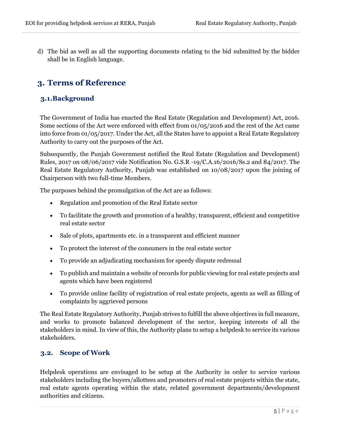d) The bid as well as all the supporting documents relating to the bid submitted by the bidder shall be in English language.

## <span id="page-5-0"></span>**3. Terms of Reference**

#### <span id="page-5-1"></span>**3.1.Background**

The Government of India has enacted the Real Estate (Regulation and Development) Act, 2016. Some sections of the Act were enforced with effect from 01/05/2016 and the rest of the Act came into force from 01/05/2017. Under the Act, all the States have to appoint a Real Estate Regulatory Authority to carry out the purposes of the Act.

Subsequently, the Punjab Government notified the Real Estate (Regulation and Development) Rules, 2017 on 08/06/2017 vide Notification No. G.S.R -19/C.A.16/2016/Ss.2 and 84/2017. The Real Estate Regulatory Authority, Punjab was established on 10/08/2017 upon the joining of Chairperson with two full-time Members.

The purposes behind the promulgation of the Act are as follows:

- Regulation and promotion of the Real Estate sector
- To facilitate the growth and promotion of a healthy, transparent, efficient and competitive real estate sector
- Sale of plots, apartments etc. in a transparent and efficient manner
- To protect the interest of the consumers in the real estate sector
- To provide an adjudicating mechanism for speedy dispute redressal
- To publish and maintain a website of records for public viewing for real estate projects and agents which have been registered
- To provide online facility of registration of real estate projects, agents as well as filling of complaints by aggrieved persons

The Real Estate Regulatory Authority, Punjab strives to fulfill the above objectives in full measure, and works to promote balanced development of the sector, keeping interests of all the stakeholders in mind. In view of this, the Authority plans to setup a helpdesk to service its various stakeholders.

#### <span id="page-5-2"></span>**3.2. Scope of Work**

Helpdesk operations are envisaged to be setup at the Authority in order to service various stakeholders including the buyers/allottees and promoters of real estate projects within the state, real estate agents operating within the state, related government departments/development authorities and citizens.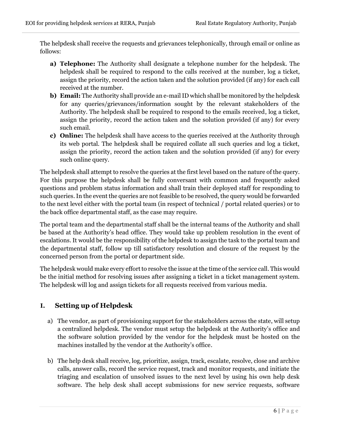The helpdesk shall receive the requests and grievances telephonically, through email or online as follows:

- **a) Telephone:** The Authority shall designate a telephone number for the helpdesk. The helpdesk shall be required to respond to the calls received at the number, log a ticket, assign the priority, record the action taken and the solution provided (if any) for each call received at the number.
- **b) Email:** The Authority shall provide an e-mail ID which shall be monitored by the helpdesk for any queries/grievances/information sought by the relevant stakeholders of the Authority. The helpdesk shall be required to respond to the emails received, log a ticket, assign the priority, record the action taken and the solution provided (if any) for every such email.
- **c) Online:** The helpdesk shall have access to the queries received at the Authority through its web portal. The helpdesk shall be required collate all such queries and log a ticket, assign the priority, record the action taken and the solution provided (if any) for every such online query.

The helpdesk shall attempt to resolve the queries at the first level based on the nature of the query. For this purpose the helpdesk shall be fully conversant with common and frequently asked questions and problem status information and shall train their deployed staff for responding to such queries. In the event the queries are not feasible to be resolved, the query would be forwarded to the next level either with the portal team (in respect of technical / portal related queries) or to the back office departmental staff, as the case may require.

The portal team and the departmental staff shall be the internal teams of the Authority and shall be based at the Authority's head office. They would take up problem resolution in the event of escalations. It would be the responsibility of the helpdesk to assign the task to the portal team and the departmental staff, follow up till satisfactory resolution and closure of the request by the concerned person from the portal or department side.

The helpdesk would make every effort to resolve the issue at the time of the service call. This would be the initial method for resolving issues after assigning a ticket in a ticket management system. The helpdesk will log and assign tickets for all requests received from various media.

#### **I. Setting up of Helpdesk**

- a) The vendor, as part of provisioning support for the stakeholders across the state, will setup a centralized helpdesk. The vendor must setup the helpdesk at the Authority's office and the software solution provided by the vendor for the helpdesk must be hosted on the machines installed by the vendor at the Authority's office.
- b) The help desk shall receive, log, prioritize, assign, track, escalate, resolve, close and archive calls, answer calls, record the service request, track and monitor requests, and initiate the triaging and escalation of unsolved issues to the next level by using his own help desk software. The help desk shall accept submissions for new service requests, software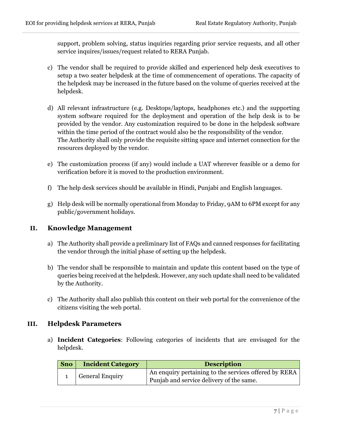support, problem solving, status inquiries regarding prior service requests, and all other service inquires/issues/request related to RERA Punjab.

- c) The vendor shall be required to provide skilled and experienced help desk executives to setup a two seater helpdesk at the time of commencement of operations. The capacity of the helpdesk may be increased in the future based on the volume of queries received at the helpdesk.
- d) All relevant infrastructure (e.g. Desktops/laptops, headphones etc.) and the supporting system software required for the deployment and operation of the help desk is to be provided by the vendor. Any customization required to be done in the helpdesk software within the time period of the contract would also be the responsibility of the vendor. The Authority shall only provide the requisite sitting space and internet connection for the resources deployed by the vendor.
- e) The customization process (if any) would include a UAT wherever feasible or a demo for verification before it is moved to the production environment.
- f) The help desk services should be available in Hindi, Punjabi and English languages.
- g) Help desk will be normally operational from Monday to Friday, 9AM to 6PM except for any public/government holidays.

#### **II. Knowledge Management**

- a) The Authority shall provide a preliminary list of FAQs and canned responses for facilitating the vendor through the initial phase of setting up the helpdesk.
- b) The vendor shall be responsible to maintain and update this content based on the type of queries being received at the helpdesk. However, any such update shall need to be validated by the Authority.
- c) The Authority shall also publish this content on their web portal for the convenience of the citizens visiting the web portal.

#### **III. Helpdesk Parameters**

a) **Incident Categories**: Following categories of incidents that are envisaged for the helpdesk.

| Sno | <b>Incident Category</b> | <b>Description</b>                                    |  |
|-----|--------------------------|-------------------------------------------------------|--|
|     | <b>General Enquiry</b>   | An enquiry pertaining to the services offered by RERA |  |
|     |                          | Punjab and service delivery of the same.              |  |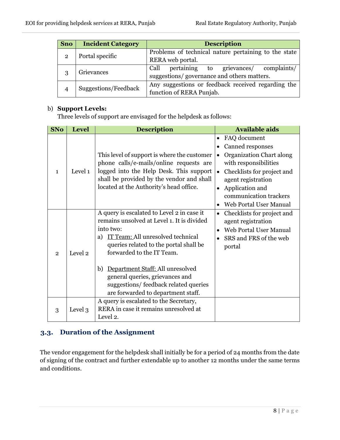| <b>Sno</b>   | <b>Incident Category</b> | <b>Description</b>                                   |  |  |
|--------------|--------------------------|------------------------------------------------------|--|--|
| $\mathbf{2}$ | Portal specific          | Problems of technical nature pertaining to the state |  |  |
|              |                          | RERA web portal.                                     |  |  |
|              | Grievances               | pertaining to grievances/<br>Call<br>complaints/     |  |  |
| 3            |                          | suggestions/governance and others matters.           |  |  |
|              | Suggestions/Feedback     | Any suggestions or feedback received regarding the   |  |  |
|              |                          | function of RERA Punjab.                             |  |  |

#### b) **Support Levels:**

Three levels of support are envisaged for the helpdesk as follows:

| <b>SNo</b>     | <b>Level</b><br><b>Description</b> |                                                                                                                                                                                                                                                                                                                                                                                    | <b>Available aids</b>                                                                                                                                                                                                                                                                          |
|----------------|------------------------------------|------------------------------------------------------------------------------------------------------------------------------------------------------------------------------------------------------------------------------------------------------------------------------------------------------------------------------------------------------------------------------------|------------------------------------------------------------------------------------------------------------------------------------------------------------------------------------------------------------------------------------------------------------------------------------------------|
| $\mathbf{1}$   | Level 1                            | This level of support is where the customer<br>phone calls/e-mails/online requests are<br>logged into the Help Desk. This support<br>shall be provided by the vendor and shall<br>located at the Authority's head office.                                                                                                                                                          | FAQ document<br>$\bullet$<br>Canned responses<br>$\bullet$<br>Organization Chart along<br>$\bullet$<br>with responsibilities<br>Checklists for project and<br>$\bullet$<br>agent registration<br>Application and<br>$\bullet$<br>communication trackers<br>Web Portal User Manual<br>$\bullet$ |
| $\overline{2}$ | Level 2                            | A query is escalated to Level 2 in case it<br>remains unsolved at Level 1. It is divided<br>into two:<br>IT Team: All unresolved technical<br>a)<br>queries related to the portal shall be<br>forwarded to the IT Team.<br>Department Staff: All unresolved<br>b)<br>general queries, grievances and<br>suggestions/feedback related queries<br>are forwarded to department staff. | Checklists for project and<br>$\bullet$<br>agent registration<br>Web Portal User Manual<br>$\bullet$<br>SRS and FRS of the web<br>portal                                                                                                                                                       |
| 3              | Level 3                            | A query is escalated to the Secretary,<br>RERA in case it remains unresolved at<br>Level 2.                                                                                                                                                                                                                                                                                        |                                                                                                                                                                                                                                                                                                |

#### <span id="page-8-0"></span>**3.3. Duration of the Assignment**

The vendor engagement for the helpdesk shall initially be for a period of 24 months from the date of signing of the contract and further extendable up to another 12 months under the same terms and conditions.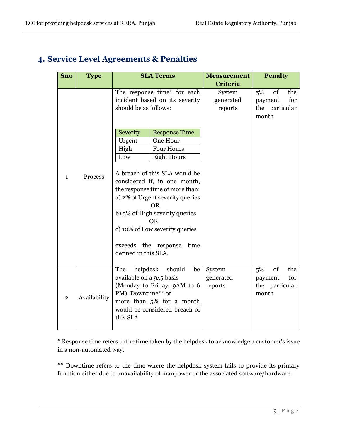| <b>Sno</b>              | Type         | <b>SLA Terms</b>                                                                                                                                                                          |                                                                                                                                                                                                                                                                                                                                                                                                                                      | <b>Measurement</b>             | <b>Penalty</b>                                 |            |
|-------------------------|--------------|-------------------------------------------------------------------------------------------------------------------------------------------------------------------------------------------|--------------------------------------------------------------------------------------------------------------------------------------------------------------------------------------------------------------------------------------------------------------------------------------------------------------------------------------------------------------------------------------------------------------------------------------|--------------------------------|------------------------------------------------|------------|
|                         |              |                                                                                                                                                                                           |                                                                                                                                                                                                                                                                                                                                                                                                                                      | <b>Criteria</b>                |                                                |            |
| $\mathbf{1}$            | Process      | The response time* for each<br>Severity<br>Urgent<br>High<br>Low                                                                                                                          | incident based on its severity<br>should be as follows:<br><b>Response Time</b><br>One Hour<br><b>Four Hours</b><br><b>Eight Hours</b><br>A breach of this SLA would be<br>considered if, in one month,<br>the response time of more than:<br>a) 2% of Urgent severity queries<br><b>OR</b><br>b) 5% of High severity queries<br><b>OR</b><br>c) 10% of Low severity queries<br>exceeds the response<br>time<br>defined in this SLA. |                                | 5%<br>of<br>payment<br>the particular<br>month | the<br>for |
| $\overline{\mathbf{2}}$ | Availability | helpdesk<br>should<br>The<br>be<br>available on a 9x5 basis<br>(Monday to Friday, 9AM to 6<br>PM). Downtime** of<br>more than 5% for a month<br>would be considered breach of<br>this SLA |                                                                                                                                                                                                                                                                                                                                                                                                                                      | System<br>generated<br>reports | 5%<br>of<br>payment<br>the particular<br>month | the<br>for |

## <span id="page-9-0"></span>**4. Service Level Agreements & Penalties**

**\*** Response time refers to the time taken by the helpdesk to acknowledge a customer's issue in a non-automated way.

**\*\*** Downtime refers to the time where the helpdesk system fails to provide its primary function either due to unavailability of manpower or the associated software/hardware.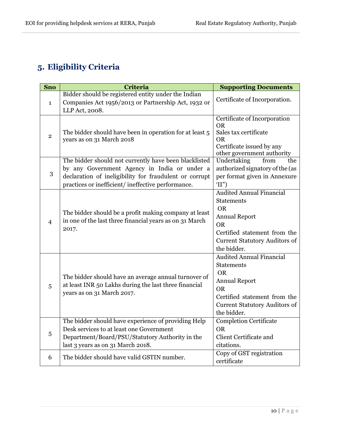# <span id="page-10-0"></span>**5. Eligibility Criteria**

| <b>Sno</b>     | Criteria                                                                                                                                                                                                             | <b>Supporting Documents</b>                                                                                                                                                                   |
|----------------|----------------------------------------------------------------------------------------------------------------------------------------------------------------------------------------------------------------------|-----------------------------------------------------------------------------------------------------------------------------------------------------------------------------------------------|
|                | Bidder should be registered entity under the Indian                                                                                                                                                                  | Certificate of Incorporation.                                                                                                                                                                 |
| $\mathbf{1}$   | Companies Act 1956/2013 or Partnership Act, 1932 or<br>LLP Act, 2008.                                                                                                                                                |                                                                                                                                                                                               |
| $\overline{2}$ | The bidder should have been in operation for at least 5<br>years as on 31 March 2018                                                                                                                                 | Certificate of Incorporation<br><b>OR</b><br>Sales tax certificate<br>0R<br>Certificate issued by any                                                                                         |
|                |                                                                                                                                                                                                                      | other government authority                                                                                                                                                                    |
| 3              | The bidder should not currently have been blacklisted<br>by any Government Agency in India or under a<br>declaration of ineligibility for fraudulent or corrupt<br>practices or inefficient/ineffective performance. | Undertaking<br>from<br>the<br>authorized signatory of the (as<br>per format given in Annexure<br>'II'                                                                                         |
| $\overline{4}$ | The bidder should be a profit making company at least<br>in one of the last three financial years as on 31 March<br>2017.                                                                                            | <b>Audited Annual Financial</b><br><b>Statements</b><br><b>OR</b><br><b>Annual Report</b><br><b>OR</b><br>Certified statement from the<br><b>Current Statutory Auditors of</b><br>the bidder. |
| 5              | The bidder should have an average annual turnover of<br>at least INR 50 Lakhs during the last three financial<br>years as on 31 March 2017.                                                                          | <b>Audited Annual Financial</b><br><b>Statements</b><br><b>OR</b><br><b>Annual Report</b><br><b>OR</b><br>Certified statement from the<br><b>Current Statutory Auditors of</b><br>the bidder. |
| 5              | The bidder should have experience of providing Help<br>Desk services to at least one Government<br>Department/Board/PSU/Statutory Authority in the<br>last 3 years as on 31 March 2018.                              | <b>Completion Certificate</b><br><b>OR</b><br>Client Certificate and<br>citations.                                                                                                            |
| 6              | The bidder should have valid GSTIN number.                                                                                                                                                                           | Copy of GST registration<br>certificate                                                                                                                                                       |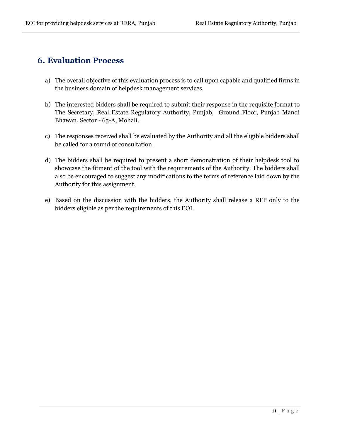## <span id="page-11-0"></span>**6. Evaluation Process**

- a) The overall objective of this evaluation process is to call upon capable and qualified firms in the business domain of helpdesk management services.
- b) The interested bidders shall be required to submit their response in the requisite format to The Secretary, Real Estate Regulatory Authority, Punjab, Ground Floor, Punjab Mandi Bhawan, Sector - 65-A, Mohali.
- c) The responses received shall be evaluated by the Authority and all the eligible bidders shall be called for a round of consultation.
- d) The bidders shall be required to present a short demonstration of their helpdesk tool to showcase the fitment of the tool with the requirements of the Authority. The bidders shall also be encouraged to suggest any modifications to the terms of reference laid down by the Authority for this assignment.
- e) Based on the discussion with the bidders, the Authority shall release a RFP only to the bidders eligible as per the requirements of this EOI.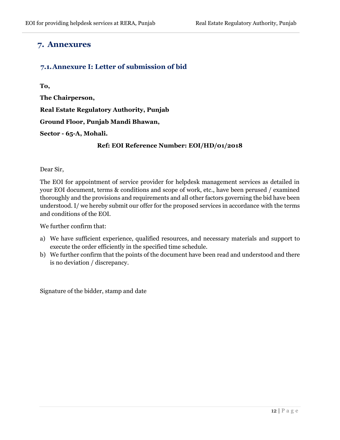#### <span id="page-12-0"></span>**7. Annexures**

#### <span id="page-12-1"></span>**7.1.Annexure I: Letter of submission of bid**

**To,**

**The Chairperson,** 

**Real Estate Regulatory Authority, Punjab**

**Ground Floor, Punjab Mandi Bhawan,**

**Sector - 65-A, Mohali.**

#### **Ref: EOI Reference Number: EOI/HD/01/2018**

Dear Sir,

The EOI for appointment of service provider for helpdesk management services as detailed in your EOI document, terms & conditions and scope of work, etc., have been perused / examined thoroughly and the provisions and requirements and all other factors governing the bid have been understood. I/ we hereby submit our offer for the proposed services in accordance with the terms and conditions of the EOI.

We further confirm that:

- a) We have sufficient experience, qualified resources, and necessary materials and support to execute the order efficiently in the specified time schedule.
- b) We further confirm that the points of the document have been read and understood and there is no deviation / discrepancy.

Signature of the bidder, stamp and date